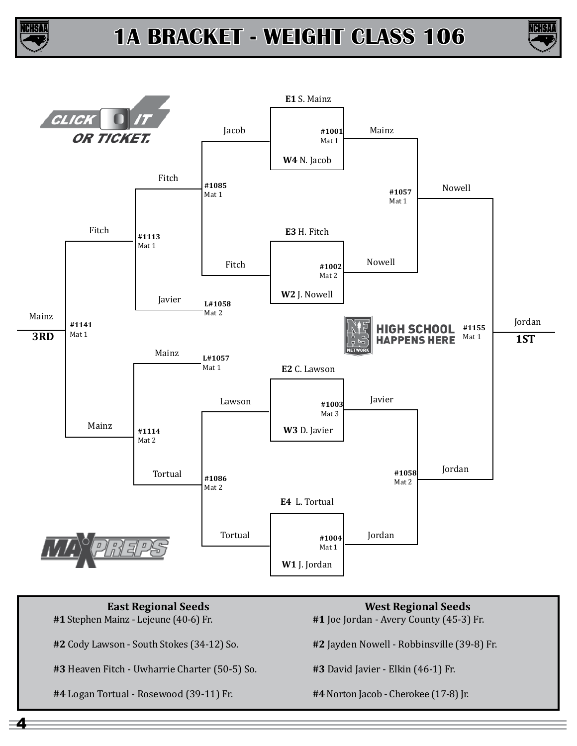





**East Regional Seeds #1** Stephen Mainz - Lejeune (40-6) Fr. **#2** Cody Lawson - South Stokes (34-12) So. **#3** Heaven Fitch - Uwharrie Charter (50-5) So. **#4** Logan Tortual - Rosewood (39-11) Fr. **West Regional Seeds #1** Joe Jordan - Avery County (45-3) Fr. **#2** Jayden Nowell - Robbinsville (39-8) Fr. **#3** David Javier - Elkin (46-1) Fr. **#4** Norton Jacob - Cherokee (17-8) Jr.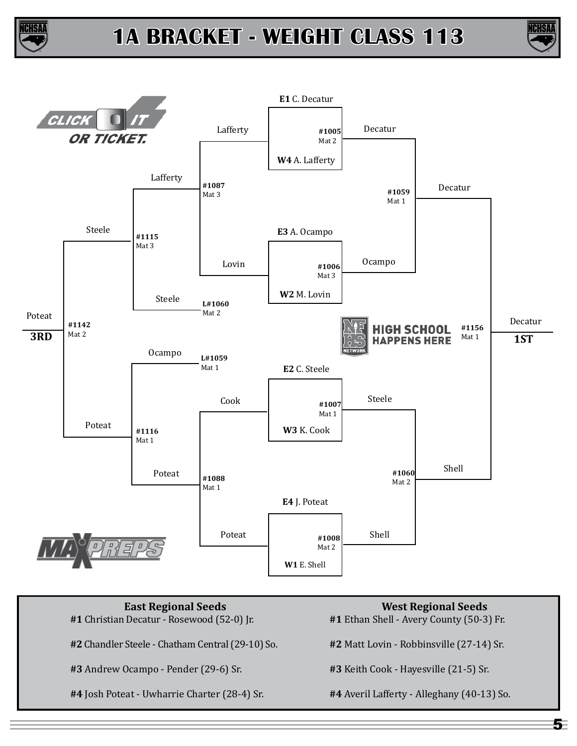





**East Regional Seeds #1** Christian Decatur - Rosewood (52-0) Jr. **#2** Chandler Steele - Chatham Central (29-10) So. **#3** Andrew Ocampo - Pender (29-6) Sr. **#4** Josh Poteat - Uwharrie Charter (28-4) Sr. **West Regional Seeds #1** Ethan Shell - Avery County (50-3) Fr. **#2** Matt Lovin - Robbinsville (27-14) Sr. **#3** Keith Cook - Hayesville (21-5) Sr. **#4** Averil Lafferty - Alleghany (40-13) So.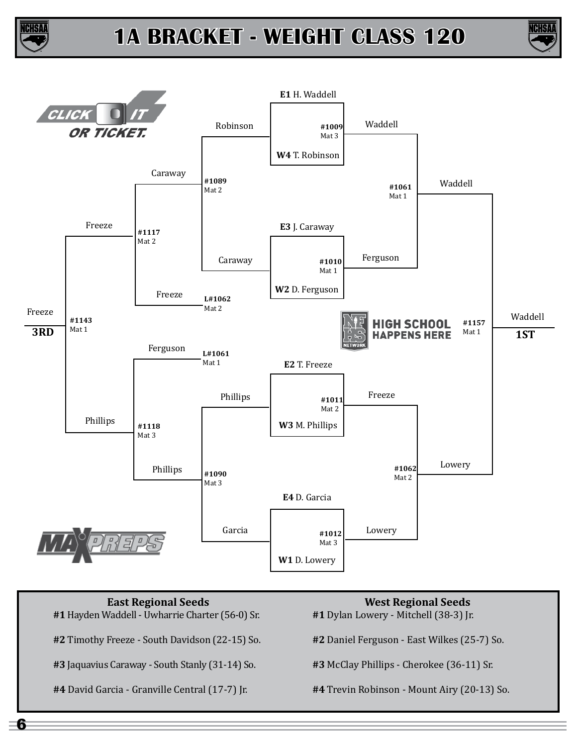





- **#1** Hayden Waddell Uwharrie Charter (56-0) Sr.
- **#2** Timothy Freeze South Davidson (22-15) So.
- **#3** Jaquavius Caraway South Stanly (31-14) So.
- **#4** David Garcia Granville Central (17-7) Jr.
- **West Regional Seeds**
- **#1** Dylan Lowery Mitchell (38-3) Jr.
- **#2** Daniel Ferguson East Wilkes (25-7) So.
- **#3** McClay Phillips Cherokee (36-11) Sr.
- **#4** Trevin Robinson Mount Airy (20-13) So.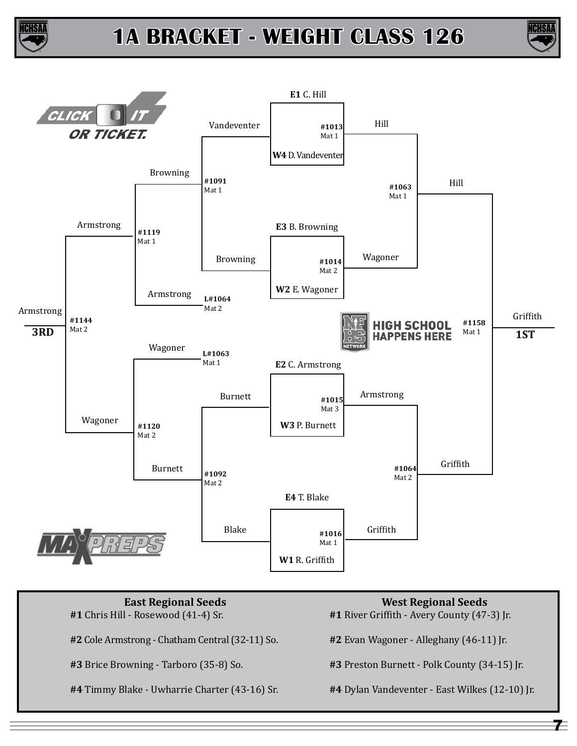





**#1** Chris Hill - Rosewood (41-4) Sr.

**#2** Cole Armstrong - Chatham Central (32-11) So.

**#3** Brice Browning - Tarboro (35-8) So.

**#4** Timmy Blake - Uwharrie Charter (43-16) Sr.

- **West Regional Seeds**
- **#1** River Griffith Avery County (47-3) Jr.
- **#2** Evan Wagoner Alleghany (46-11) Jr.
- **#3** Preston Burnett Polk County (34-15) Jr.
- **#4** Dylan Vandeventer East Wilkes (12-10) Jr.

 $\tau$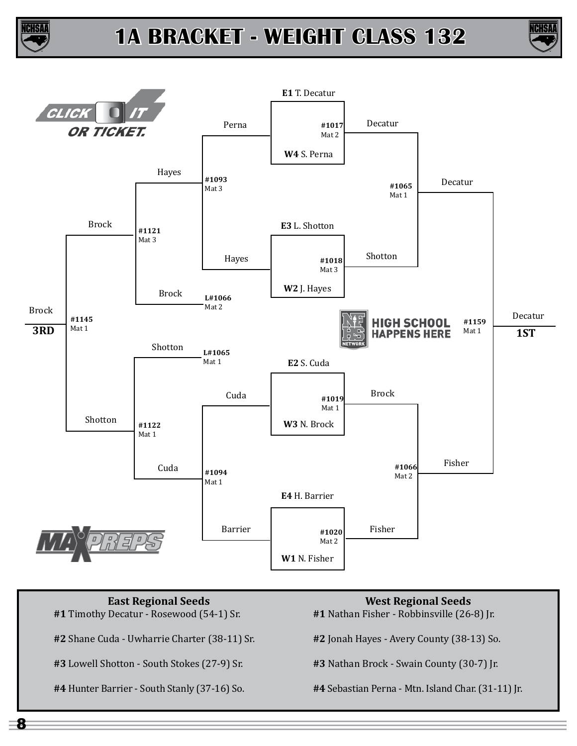





**#1** Timothy Decatur - Rosewood (54-1) Sr.

**#2** Shane Cuda - Uwharrie Charter (38-11) Sr.

**#3** Lowell Shotton - South Stokes (27-9) Sr.

**#4** Hunter Barrier - South Stanly (37-16) So.

**West Regional Seeds**

**#1** Nathan Fisher - Robbinsville (26-8) Jr.

**#2** Jonah Hayes - Avery County (38-13) So.

**#3** Nathan Brock - Swain County (30-7) Jr.

**#4** Sebastian Perna - Mtn. Island Char. (31-11) Jr.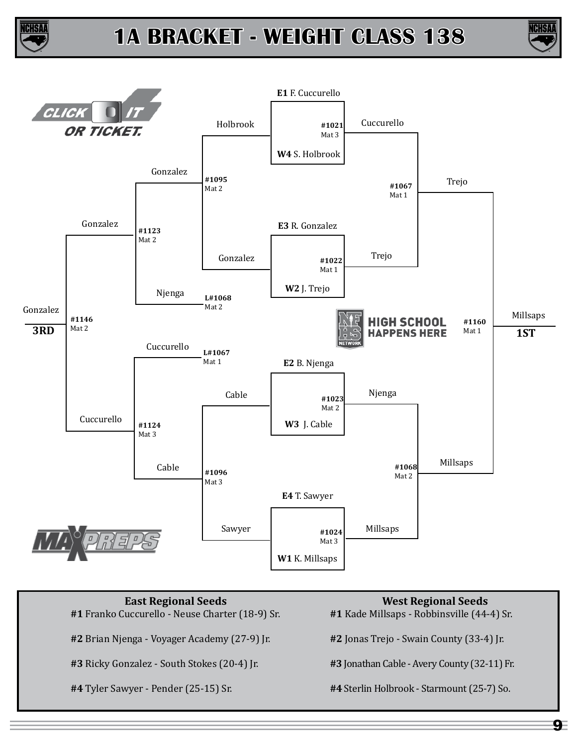





**#1** Franko Cuccurello - Neuse Charter (18-9) Sr.

**#2** Brian Njenga - Voyager Academy (27-9) Jr.

**#3** Ricky Gonzalez - South Stokes (20-4) Jr.

**#4** Tyler Sawyer - Pender (25-15) Sr.

#### **West Regional Seeds**

**#1** Kade Millsaps - Robbinsville (44-4) Sr.

**#2** Jonas Trejo - Swain County (33-4) Jr.

**#3** Jonathan Cable - Avery County (32-11) Fr.

**#4** Sterlin Holbrook - Starmount (25-7) So.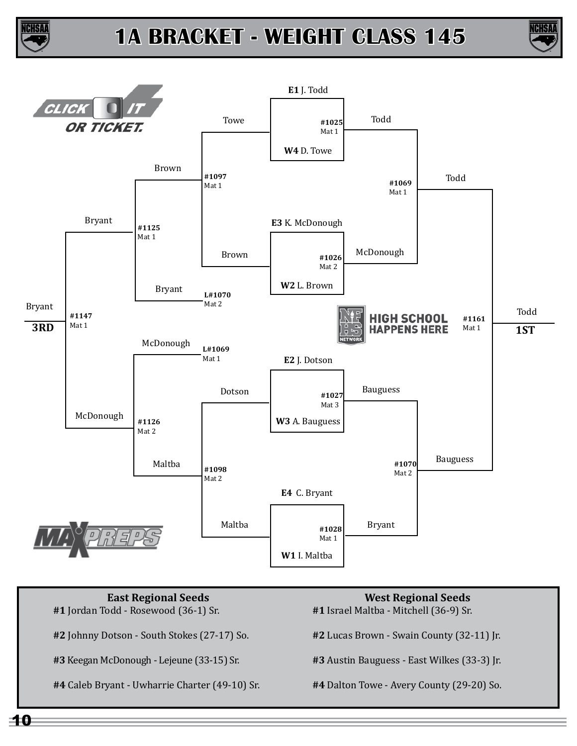





**#1** Jordan Todd - Rosewood (36-1) Sr.

**#2** Johnny Dotson - South Stokes (27-17) So.

**#3** Keegan McDonough - Lejeune (33-15) Sr.

**#4** Caleb Bryant - Uwharrie Charter (49-10) Sr.

**West Regional Seeds**

**#1** Israel Maltba - Mitchell (36-9) Sr.

**#2** Lucas Brown - Swain County (32-11) Jr.

**#3** Austin Bauguess - East Wilkes (33-3) Jr.

**#4** Dalton Towe - Avery County (29-20) So.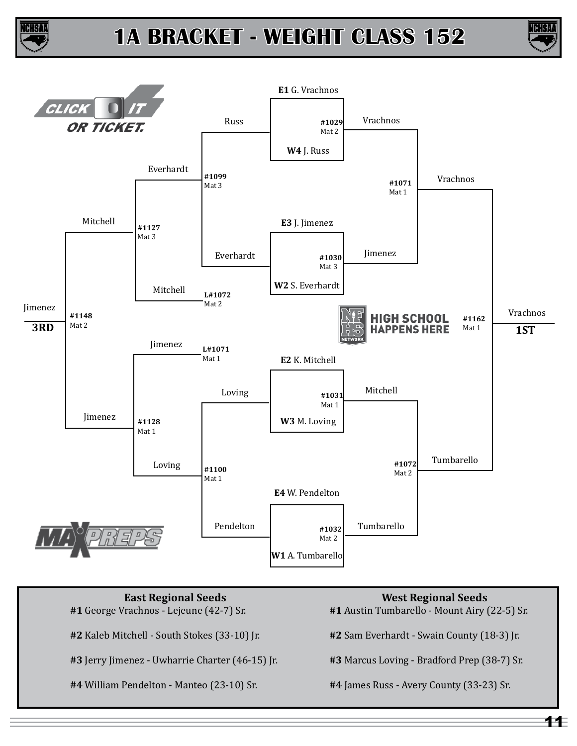





**#1** George Vrachnos - Lejeune (42-7) Sr.

**#2** Kaleb Mitchell - South Stokes (33-10) Jr.

**#3** Jerry Jimenez - Uwharrie Charter (46-15) Jr.

**#4** William Pendelton - Manteo (23-10) Sr.

**West Regional Seeds**

**#1** Austin Tumbarello - Mount Airy (22-5) Sr.

**#2** Sam Everhardt - Swain County (18-3) Jr.

**#3** Marcus Loving - Bradford Prep (38-7) Sr.

**#4** James Russ - Avery County (33-23) Sr.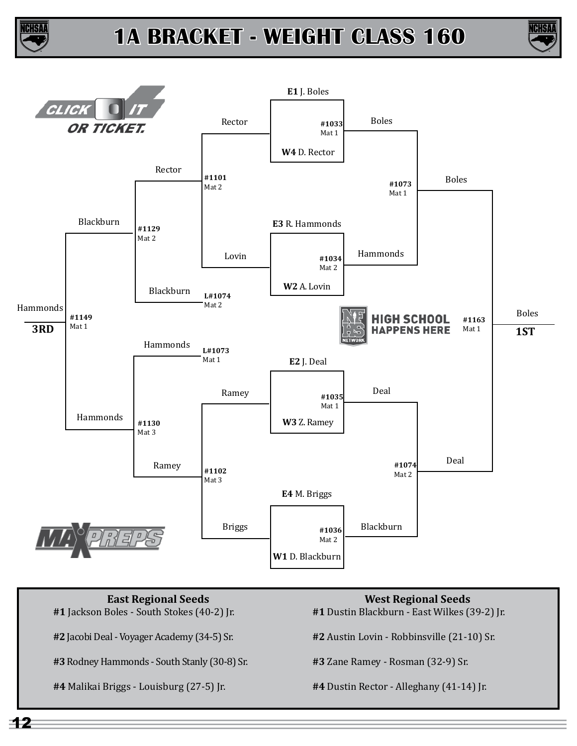





**#1** Jackson Boles - South Stokes (40-2) Jr.

**#2** Jacobi Deal - Voyager Academy (34-5) Sr.

**#3** Rodney Hammonds - South Stanly (30-8) Sr.

**#4** Malikai Briggs - Louisburg (27-5) Jr.

- **West Regional Seeds**
- **#1** Dustin Blackburn East Wilkes (39-2) Jr.

**#2** Austin Lovin - Robbinsville (21-10) Sr.

**#3** Zane Ramey - Rosman (32-9) Sr.

**#4** Dustin Rector - Alleghany (41-14) Jr.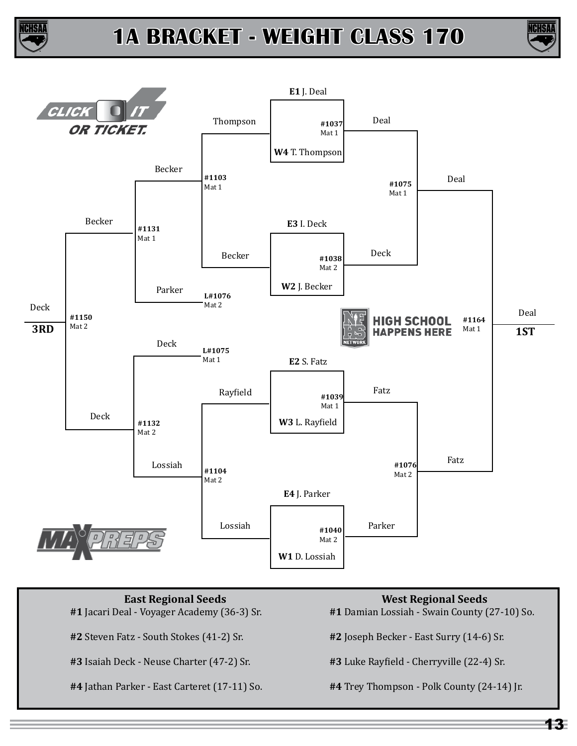





**#1** Jacari Deal - Voyager Academy (36-3) Sr.

**#2** Steven Fatz - South Stokes (41-2) Sr.

**#3** Isaiah Deck - Neuse Charter (47-2) Sr.

**#4** Jathan Parker - East Carteret (17-11) So.

**West Regional Seeds**

**#1** Damian Lossiah - Swain County (27-10) So.

**#2** Joseph Becker - East Surry (14-6) Sr.

**#3** Luke Rayfield - Cherryville (22-4) Sr.

**#4** Trey Thompson - Polk County (24-14) Jr.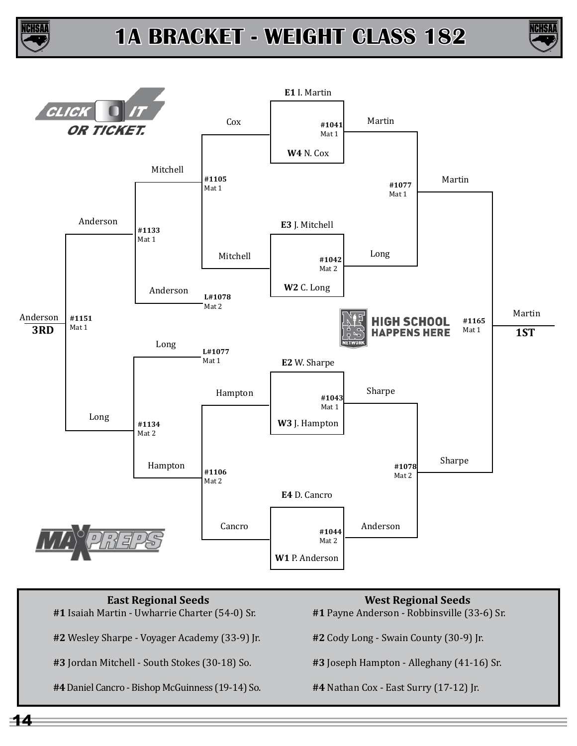





- **#1** Isaiah Martin Uwharrie Charter (54-0) Sr.
- **#2** Wesley Sharpe Voyager Academy (33-9) Jr.
- **#3** Jordan Mitchell South Stokes (30-18) So.
- **#4** Daniel Cancro Bishop McGuinness (19-14) So.

# **West Regional Seeds**

- **#1** Payne Anderson Robbinsville (33-6) Sr.
- **#2** Cody Long Swain County (30-9) Jr.
- **#3** Joseph Hampton Alleghany (41-16) Sr.
- **#4** Nathan Cox East Surry (17-12) Jr.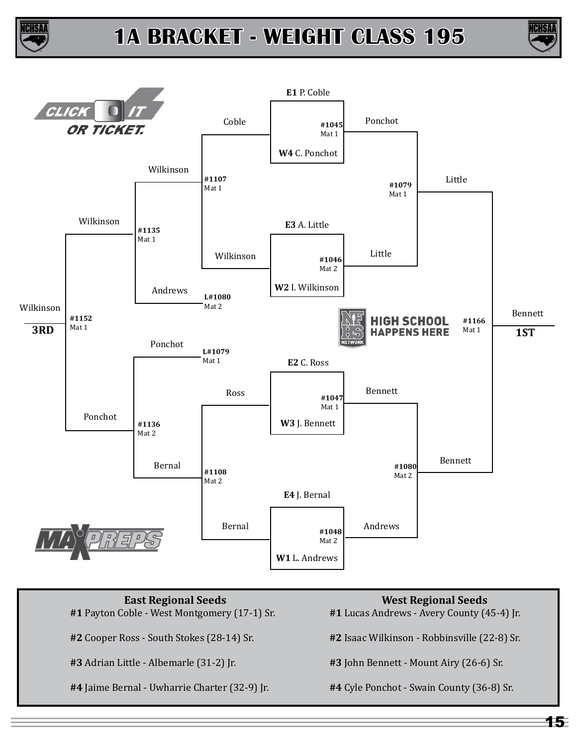





- **#1** Payton Coble West Montgomery (17-1) Sr.
- **#2** Cooper Ross South Stokes (28-14) Sr.
- **#3** Adrian Little Albemarle (31-2) Jr.
- **#4** Jaime Bernal Uwharrie Charter (32-9) Jr.

### **West Regional Seeds**

- **#1** Lucas Andrews Avery County (45-4) Jr.
- **#2** Isaac Wilkinson Robbinsville (22-8) Sr.
- **#3** John Bennett Mount Airy (26-6) Sr.
- **#4** Cyle Ponchot Swain County (36-8) Sr.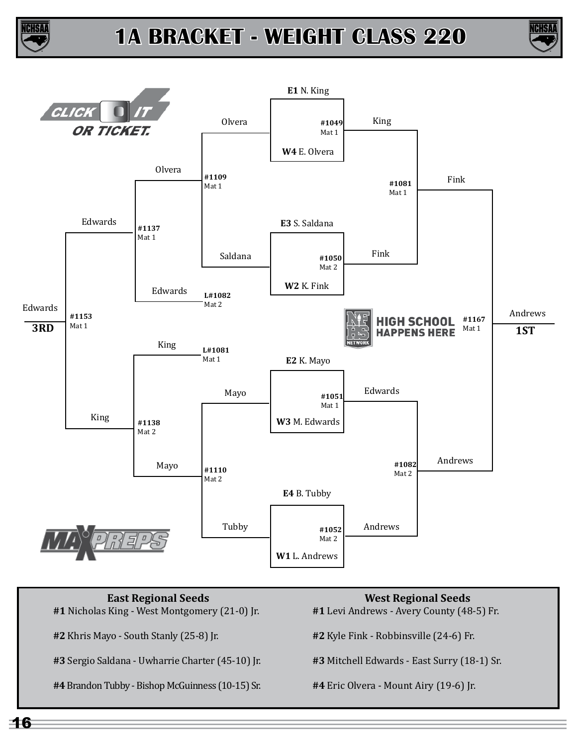





**#1** Nicholas King - West Montgomery (21-0) Jr.

**#2** Khris Mayo - South Stanly (25-8) Jr.

**#3** Sergio Saldana - Uwharrie Charter (45-10) Jr.

**#4** Brandon Tubby - Bishop McGuinness (10-15) Sr.

**West Regional Seeds**

**#1** Levi Andrews - Avery County (48-5) Fr.

**#2** Kyle Fink - Robbinsville (24-6) Fr.

**#3** Mitchell Edwards - East Surry (18-1) Sr.

**#4** Eric Olvera - Mount Airy (19-6) Jr.